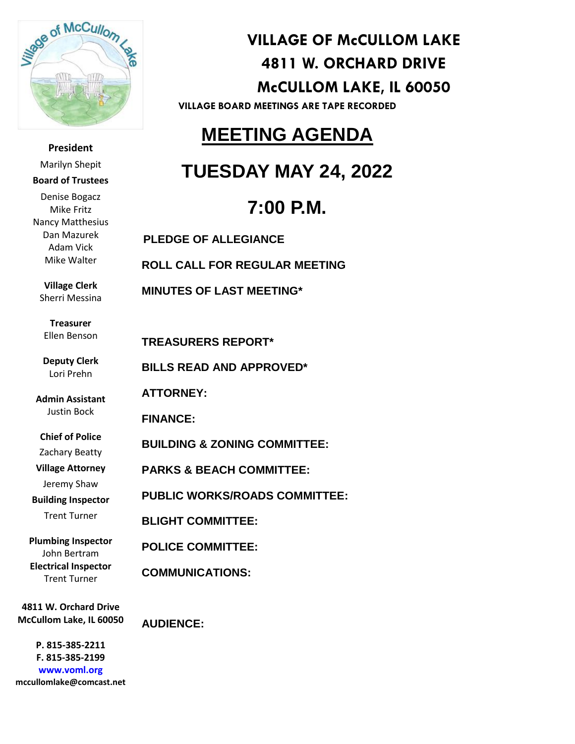

**President** Marilyn Shepit **Board of Trustees** Denise Bogacz Mike Fritz Nancy Matthesius Dan Mazurek Adam Vick Mike Walter

**Village Clerk** Sherri Messina

**Treasurer** Ellen Benson

**Deputy Clerk** Lori Prehn

**Admin Assistant** Justin Bock

**Chief of Police**

Zachary Beatty

**Village Attorney**

Jeremy Shaw

**Building Inspector**

Trent Turner

**Plumbing Inspector** John Bertram **Electrical Inspector** Trent Turner

**4811 W. Orchard Drive McCullom Lake, IL 60050**

 **mccullomlake@comcast.netP. 815-385-2211 F. 815-385-2199 www.voml.org**

**VILLAGE OF McCULLOM LAKE 4811 W. ORCHARD DRIVE McCULLOM LAKE, IL 60050**

**VILLAGE BOARD MEETINGS ARE TAPE RECORDED**

## **MEETING AGENDA**

## **TUESDAY MAY 24, 2022**

# **7:00 P.M.**

 **PLEDGE OF ALLEGIANCE ROLL CALL FOR REGULAR MEETING MINUTES OF LAST MEETING\* TREASURERS REPORT\* BILLS READ AND APPROVED\* ATTORNEY: FINANCE: BUILDING & ZONING COMMITTEE: PARKS & BEACH COMMITTEE: PUBLIC WORKS/ROADS COMMITTEE: BLIGHT COMMITTEE: POLICE COMMITTEE: COMMUNICATIONS:**

**AUDIENCE:**